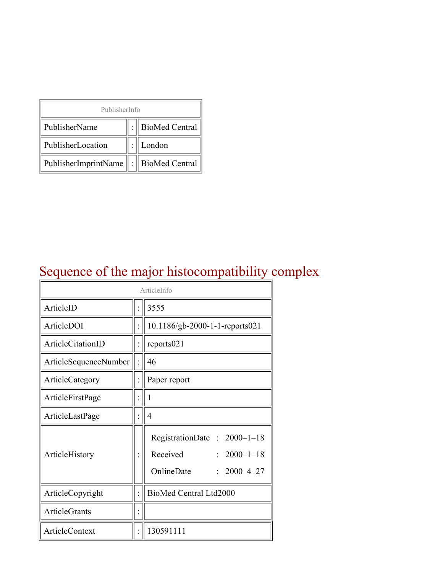| PublisherInfo                         |  |                    |  |  |
|---------------------------------------|--|--------------------|--|--|
| PublisherName                         |  | :   BioMed Central |  |  |
| PublisherLocation                     |  | London             |  |  |
| PublisherImprintName : BioMed Central |  |                    |  |  |

### Sequence of the major histocompatibility complex

| ArticleInfo              |  |                                                                                               |
|--------------------------|--|-----------------------------------------------------------------------------------------------|
| ArticleID                |  | 3555                                                                                          |
| ArticleDOI               |  | 10.1186/gb-2000-1-1-reports021                                                                |
| <b>ArticleCitationID</b> |  | reports021                                                                                    |
| ArticleSequenceNumber    |  | 46                                                                                            |
| ArticleCategory          |  | Paper report                                                                                  |
| ArticleFirstPage         |  | 1                                                                                             |
| ArticleLastPage          |  | $\overline{4}$                                                                                |
| ArticleHistory           |  | RegistrationDate: 2000-1-18<br>Received<br>$: 2000 - 1 - 18$<br>OnlineDate<br>$2000 - 4 - 27$ |
| ArticleCopyright         |  | BioMed Central Ltd2000                                                                        |
| <b>ArticleGrants</b>     |  |                                                                                               |
| ArticleContext           |  | 130591111                                                                                     |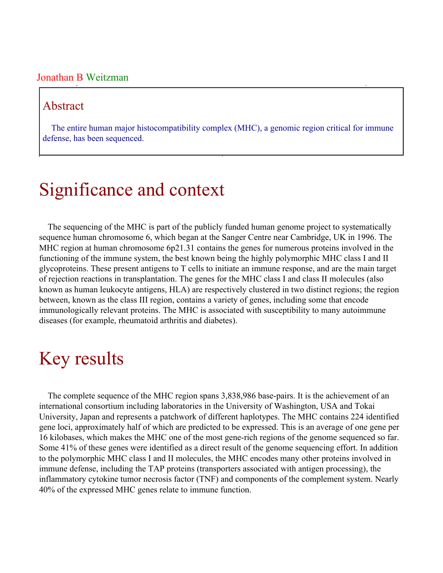#### Jonathan B Weitzman

#### Abstract

The entire human major histocompatibility complex (MHC), a genomic region critical for immune defense, has been sequenced.

## Significance and context

The sequencing of the MHC is part of the publicly funded human genome project to systematically sequence human chromosome 6, which began at the Sanger Centre near Cambridge, UK in 1996. The MHC region at human chromosome 6p21.31 contains the genes for numerous proteins involved in the functioning of the immune system, the best known being the highly polymorphic MHC class I and II glycoproteins. These present antigens to T cells to initiate an immune response, and are the main target of rejection reactions in transplantation. The genes for the MHC class I and class II molecules (also known as human leukocyte antigens, HLA) are respectively clustered in two distinct regions; the region between, known as the class III region, contains a variety of genes, including some that encode immunologically relevant proteins. The MHC is associated with susceptibility to many autoimmune diseases (for example, rheumatoid arthritis and diabetes).

### Key results

The complete sequence of the MHC region spans 3,838,986 base-pairs. It is the achievement of an international consortium including laboratories in the University of Washington, USA and Tokai University, Japan and represents a patchwork of different haplotypes. The MHC contains 224 identified gene loci, approximately half of which are predicted to be expressed. This is an average of one gene per 16 kilobases, which makes the MHC one of the most gene-rich regions of the genome sequenced so far. Some 41% of these genes were identified as a direct result of the genome sequencing effort. In addition to the polymorphic MHC class I and II molecules, the MHC encodes many other proteins involved in immune defense, including the TAP proteins (transporters associated with antigen processing), the inflammatory cytokine tumor necrosis factor (TNF) and components of the complement system. Nearly 40% of the expressed MHC genes relate to immune function.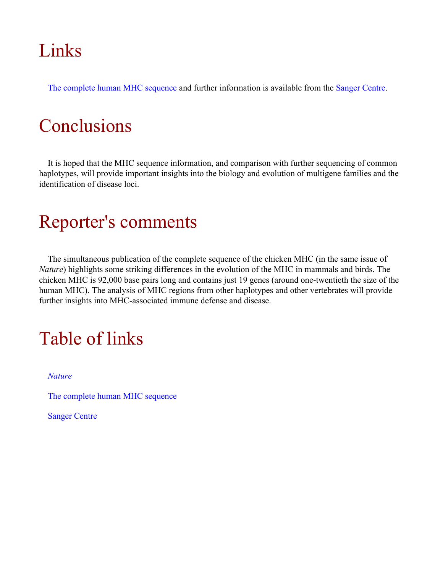# Links

[The complete human MHC sequence](http://www.sanger.ac.uk/HGP/Chr6/MHC.shtml) and further information is available from the [Sanger Centre.](http://www.sanger.ac.uk)

# **Conclusions**

It is hoped that the MHC sequence information, and comparison with further sequencing of common haplotypes, will provide important insights into the biology and evolution of multigene families and the identification of disease loci.

# Reporter's comments

The simultaneous publication of the complete sequence of the chicken MHC (in the same issue of *Nature*) highlights some striking differences in the evolution of the MHC in mammals and birds. The chicken MHC is 92,000 base pairs long and contains just 19 genes (around one-twentieth the size of the human MHC). The analysis of MHC regions from other haplotypes and other vertebrates will provide further insights into MHC-associated immune defense and disease.

# Table of links

*[Nature](http://www.nature.com/)*

[The complete human MHC sequence](http://www.sanger.ac.uk/HGP/Chr6/MHC.shtml)

[Sanger Centre](http://www.sanger.ac.uk)